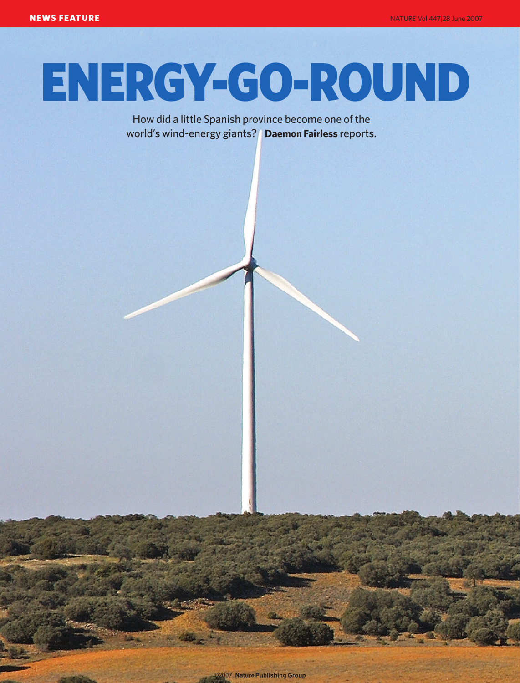## ENERGY-GO-ROUND

How did a little Spanish province become one of the world's wind-energy giants? **Daemon Fairless** reports.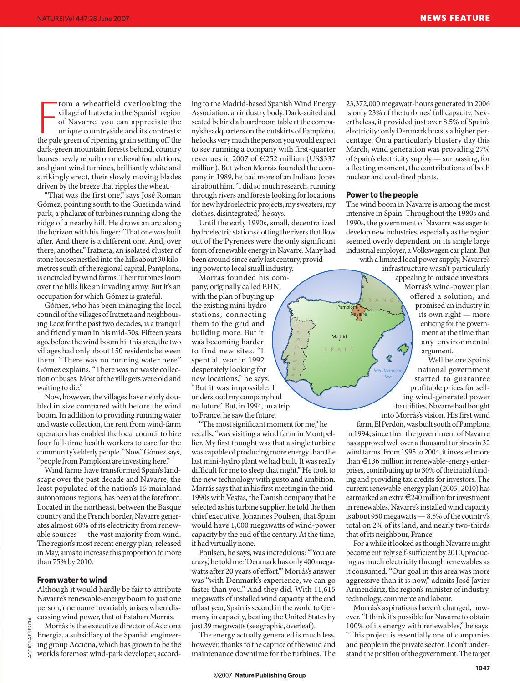From a wheatfield overlooking the village of Iratxeta in the Spanish region of Navarre, you can appreciate the unique countryside and its contrasts: the pale green of ripening grain setting off the rom a wheatfield overlooking the village of Iratxeta in the Spanish region of Navarre, you can appreciate the unique countryside and its contrasts: dark-green mountain forests behind, country houses newly rebuilt on medieval foundations, and giant wind turbines, brilliantly white and strikingly erect, their slowly moving blades driven by the breeze that ripples the wheat.

"That was the first one," says José Roman Gómez, pointing south to the Guerinda wind park, a phalanx of turbines running along the ridge of a nearby hill. He draws an arc along the horizon with his finger: "That one was built after. And there is a different one. And, over there, another." Iratxeta, an isolated cluster of stone houses nestled into the hills about 30 kilometres south of the regional capital, Pamplona, is encircled by wind farms. Their turbines loom over the hills like an invading army. But it's an occupation for which Gómez is grateful.

Gómez, who has been managing the local council of the villages of Iratxeta and neighbouring Leoz for the past two decades, is a tranquil and friendly man in his mid-50s. Fifteen years ago, before the wind boom hit this area, the two villages had only about 150 residents between them. "There was no running water here," Gómez explains. "There was no waste collection or buses. Most of the villagers were old and waiting to die."

Now, however, the villages have nearly doubled in size compared with before the wind boom. In addition to providing running water and waste collection, the rent from wind-farm operators has enabled the local council to hire four full-time health workers to care for the community's elderly people. "Now," Gómez says, "people from Pamplona are investing here."

Wind farms have transformed Spain's landscape over the past decade and Navarre, the least populated of the nation's 15 mainland autonomous regions, has been at the forefront. Located in the northeast, between the Basque country and the French border, Navarre generates almost 60% of its electricity from renewable sources — the vast majority from wind. The region's most recent energy plan, released in May, aims to increase this proportion to more than 75% by 2010.

## **From water to wind**

Although it would hardly be fair to attribute Navarre's renewable-energy boom to just one person, one name invariably arises when discussing wind power, that of Estaban Morrás.

Morrás is the executive director of Acciona Energia, a subsidiary of the Spanish engineering group Acciona, which has grown to be the world's foremost wind-park developer, accord-

ing to the Madrid-based Spanish Wind Energy Association, an industry body. Dark-suited and seated behind a boardroom table at the company's headquarters on the outskirts of Pamplona, he looks very much the person you would expect to see running a company with first-quarter revenues in 2007 of  $\epsilon$ 252 million (US\$337 million). But when Morrás founded the company in 1989, he had more of an Indiana Jones air about him. "I did so much research, running through rivers and forests looking for locations for new hydroelectric projects, my sweaters, my clothes, disintegrated," he says.

Until the early 1990s, small, decentralized hydroelectric stations dotting the rivers that flow out of the Pyrenees were the only significant form of renewable energy in Navarre. Many had been around since early last century, providing power to local small industry.

Morrás founded his company, originally called EHN, with the plan of buying up the existing mini-hydrostations, connecting them to the grid and building more. But it was becoming harder to find new sites. "I spent all year in 1992 desperately looking for new locations," he says. "But it was impossible. I understood my company had no future." But, in 1994, on a trip to France, he saw the future.

"The most significant moment for me," he recalls, "was visiting a wind farm in Montpellier. My first thought was that a single turbine was capable of producing more energy than the last mini-hydro plant we had built. It was really difficult for me to sleep that night." He took to the new technology with gusto and ambition. Morrás says that in his first meeting in the mid-1990s with Vestas, the Danish company that he selected as his turbine supplier, he told the then chief executive, Johannes Poulsen, that Spain would have 1,000 megawatts of wind-power capacity by the end of the century. At the time, it had virtually none.

Poulsen, he says, was incredulous: "'You are crazy,' he told me: 'Denmark has only 400 megawatts after 20 years of effort.'" Morrás's answer was "with Denmark's experience, we can go faster than you." And they did. With 11,615 megawatts of installed wind capacity at the end of last year, Spain is second in the world to Germany in capacity, beating the United States by just 39 megawatts (see graphic, overleaf).

The energy actually generated is much less, however, thanks to the caprice of the wind and maintenance downtime for the turbines. The 23,372,000 megawatt-hours generated in 2006 is only 23% of the turbines' full capacity. Nevertheless, it provided just over 8.5% of Spain's electricity: only Denmark boasts a higher percentage. On a particularly blustery day this March, wind generation was providing 27% of Spain's electricity supply — surpassing, for a fleeting moment, the contributions of both nuclear and coal-fired plants.

## **Power to the people**

*Sea*

 $\overline{Q}$ 

SPAIN

Madrid

Pamplona **Navarre** 

P O R TUG

A L

The wind boom in Navarre is among the most intensive in Spain. Throughout the 1980s and 1990s, the government of Navarre was eager to develop new industries, especially as the region seemed overly dependent on its single large industrial employer, a Volkswagen car plant. But with a limited local power supply, Navarre's

infrastructure wasn't particularly appealing to outside investors. Morrás's wind-power plan offered a solution, and promised an industry in its own right — more enticing for the government at the time than any environmental argument.

*Mediterranean* Well before Spain's national government started to guarantee profitable prices for selling wind-generated power to utilities, Navarre had bought into Morrás's vision. His first wind

farm, El Perdón, was built south of Pamplona in 1994; since then the government of Navarre has approved well over a thousand turbines in 32 wind farms. From 1995 to 2004, it invested more than €136 million in renewable-energy enterprises, contributing up to 30% of the initial funding and providing tax credits for investors. The current renewable-energy plan (2005–2010) has earmarked an extra €240 million for investment in renewables. Navarre's installed wind capacity is about 950 megawatts — 8.5% of the country's total on 2% of its land, and nearly two-thirds that of its neighbour, France.

For a while it looked as though Navarre might become entirely self-sufficient by 2010, producing as much electricity through renewables as it consumed. "Our goal in this area was more aggressive than it is now," admits José Javier Armendáriz, the region's minister of industry, technology, commerce and labour.

Morrás's aspirations haven't changed, however. "I think it's possible for Navarre to obtain 100% of its energy with renewables," he says. "This project is essentially one of companies and people in the private sector. I don't understand the position of the government. The target